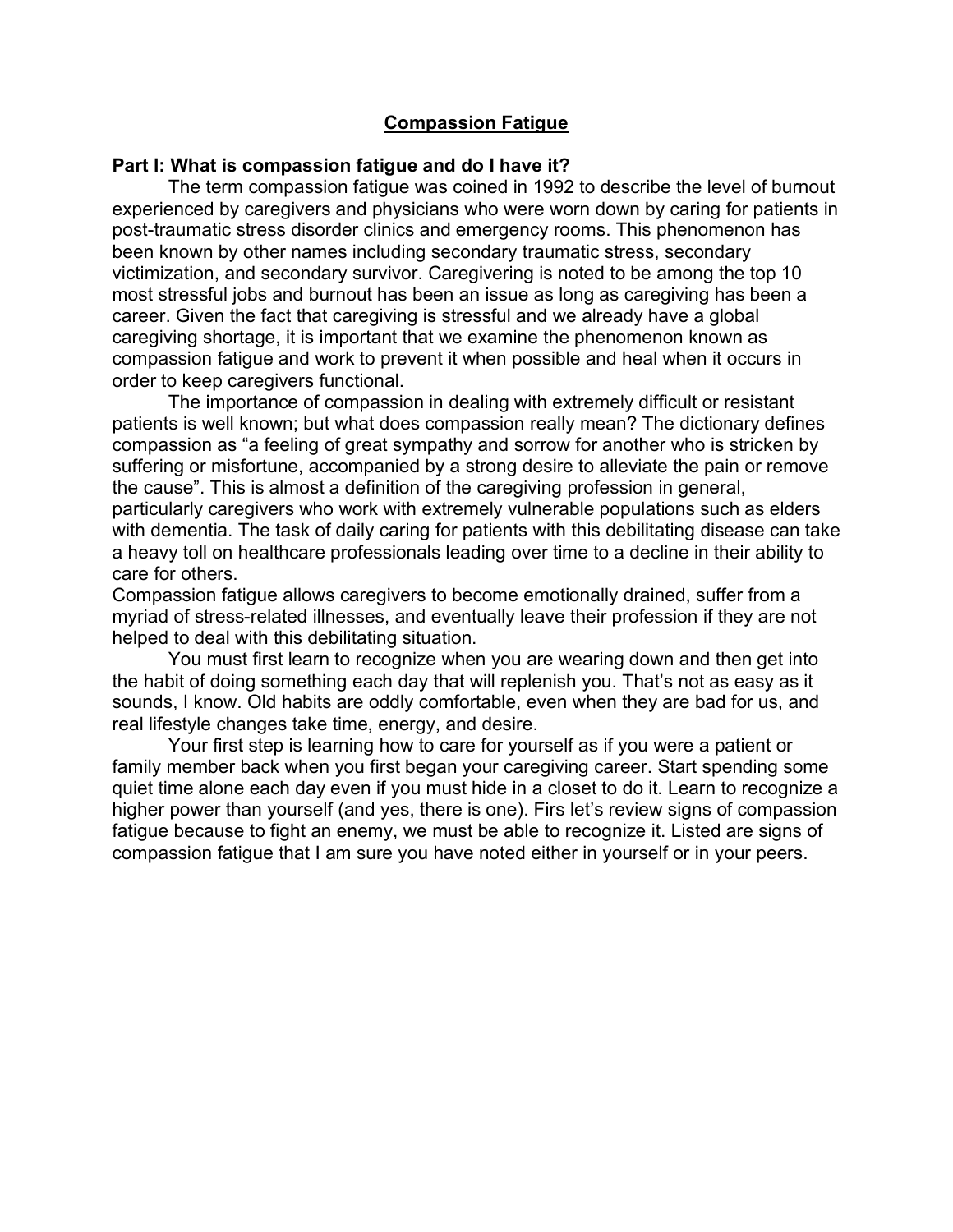### **Compassion Fatigue**

#### **Part I: What is compassion fatigue and do I have it?**

The term compassion fatigue was coined in 1992 to describe the level of burnout experienced by caregivers and physicians who were worn down by caring for patients in post-traumatic stress disorder clinics and emergency rooms. This phenomenon has been known by other names including secondary traumatic stress, secondary victimization, and secondary survivor. Caregivering is noted to be among the top 10 most stressful jobs and burnout has been an issue as long as caregiving has been a career. Given the fact that caregiving is stressful and we already have a global caregiving shortage, it is important that we examine the phenomenon known as compassion fatigue and work to prevent it when possible and heal when it occurs in order to keep caregivers functional.

The importance of compassion in dealing with extremely difficult or resistant patients is well known; but what does compassion really mean? The dictionary defines compassion as "a feeling of great sympathy and sorrow for another who is stricken by suffering or misfortune, accompanied by a strong desire to alleviate the pain or remove the cause". This is almost a definition of the caregiving profession in general, particularly caregivers who work with extremely vulnerable populations such as elders with dementia. The task of daily caring for patients with this debilitating disease can take a heavy toll on healthcare professionals leading over time to a decline in their ability to care for others.

Compassion fatigue allows caregivers to become emotionally drained, suffer from a myriad of stress-related illnesses, and eventually leave their profession if they are not helped to deal with this debilitating situation.

You must first learn to recognize when you are wearing down and then get into the habit of doing something each day that will replenish you. That's not as easy as it sounds, I know. Old habits are oddly comfortable, even when they are bad for us, and real lifestyle changes take time, energy, and desire.

Your first step is learning how to care for yourself as if you were a patient or family member back when you first began your caregiving career. Start spending some quiet time alone each day even if you must hide in a closet to do it. Learn to recognize a higher power than yourself (and yes, there is one). Firs let's review signs of compassion fatigue because to fight an enemy, we must be able to recognize it. Listed are signs of compassion fatigue that I am sure you have noted either in yourself or in your peers.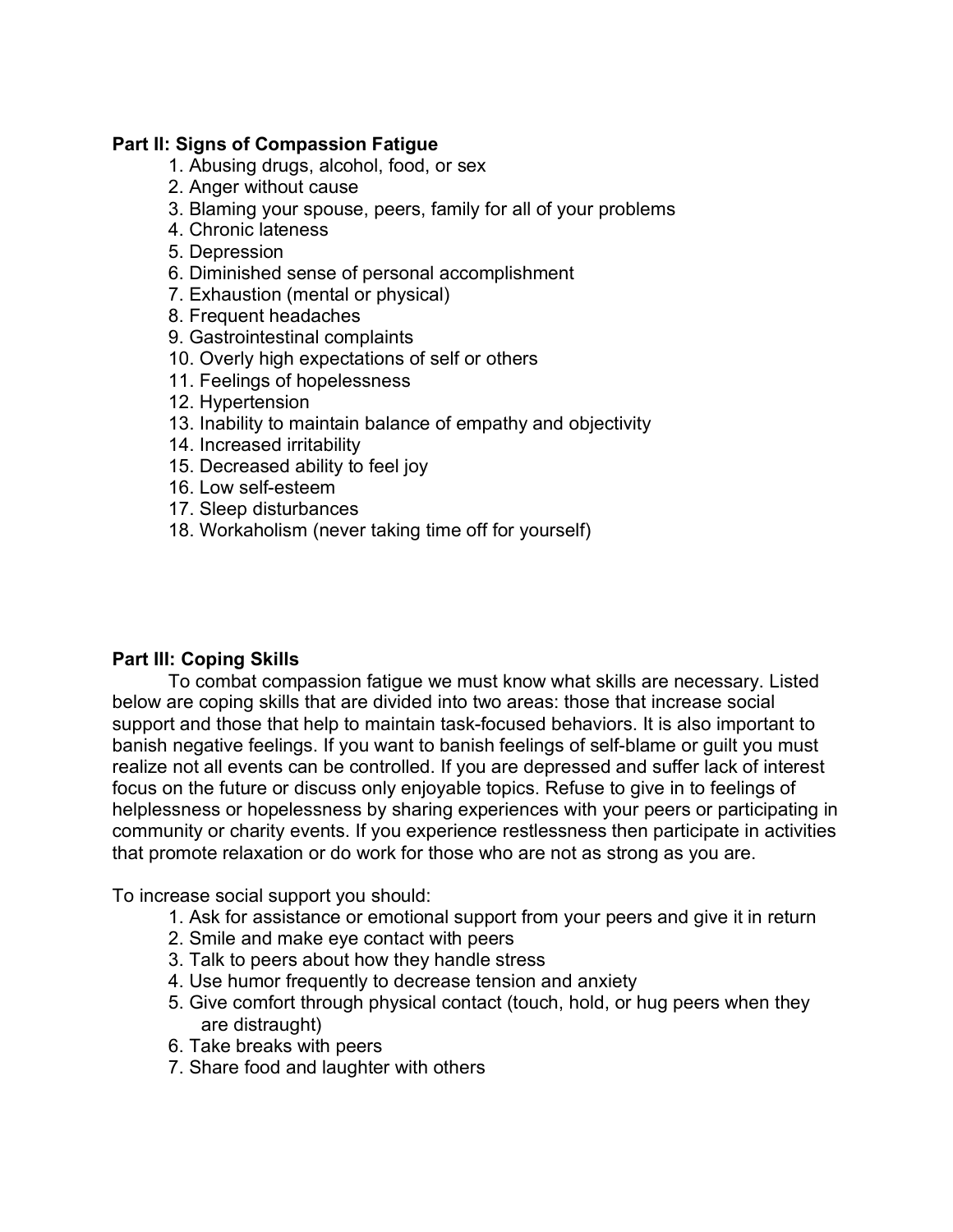## **Part II: Signs of Compassion Fatigue**

- 1. Abusing drugs, alcohol, food, or sex
- 2. Anger without cause
- 3. Blaming your spouse, peers, family for all of your problems
- 4. Chronic lateness
- 5. Depression
- 6. Diminished sense of personal accomplishment
- 7. Exhaustion (mental or physical)
- 8. Frequent headaches
- 9. Gastrointestinal complaints
- 10. Overly high expectations of self or others
- 11. Feelings of hopelessness
- 12. Hypertension
- 13. Inability to maintain balance of empathy and objectivity
- 14. Increased irritability
- 15. Decreased ability to feel joy
- 16. Low self-esteem
- 17. Sleep disturbances
- 18. Workaholism (never taking time off for yourself)

# **Part III: Coping Skills**

To combat compassion fatigue we must know what skills are necessary. Listed below are coping skills that are divided into two areas: those that increase social support and those that help to maintain task-focused behaviors. It is also important to banish negative feelings. If you want to banish feelings of self-blame or guilt you must realize not all events can be controlled. If you are depressed and suffer lack of interest focus on the future or discuss only enjoyable topics. Refuse to give in to feelings of helplessness or hopelessness by sharing experiences with your peers or participating in community or charity events. If you experience restlessness then participate in activities that promote relaxation or do work for those who are not as strong as you are.

To increase social support you should:

- 1. Ask for assistance or emotional support from your peers and give it in return
- 2. Smile and make eye contact with peers
- 3. Talk to peers about how they handle stress
- 4. Use humor frequently to decrease tension and anxiety
- 5. Give comfort through physical contact (touch, hold, or hug peers when they are distraught)
- 6. Take breaks with peers
- 7. Share food and laughter with others